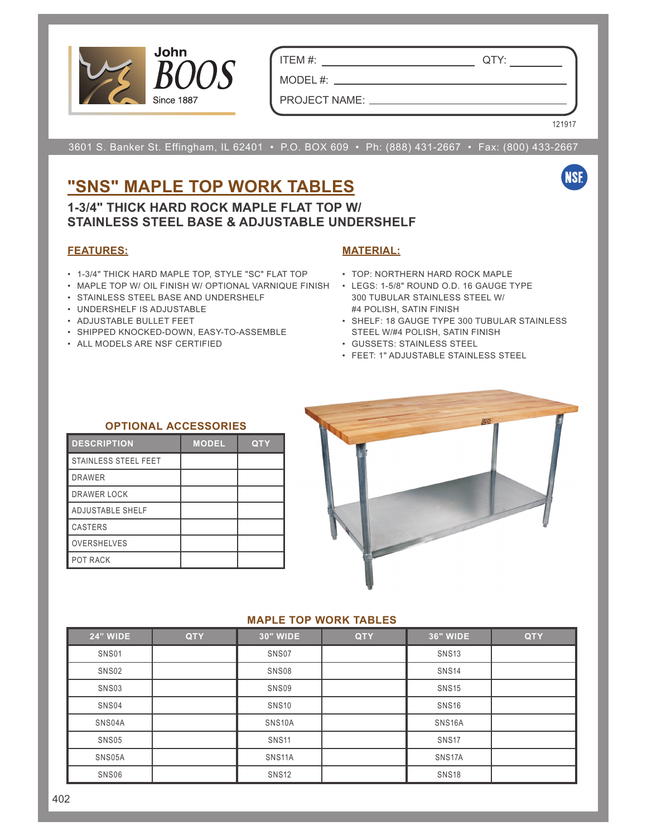

ITEM #: QTY:

MODEL #: PROJECT NAME:

121917

**NSF** 

3601 S. Banker St. Effingham, IL 62401 • P.O. BOX 609 • Ph: (888) 431-2667 • Fax: (800) 433-2667

## **"SNS" MAPLE TOP WORK TABLES**

**1-3/4" THICK HARD ROCK MAPLE FLAT TOP W/ STAINLESS STEEL BASE & ADJUSTABLE UNDERSHELF**

### **FEATURES:**

- 1-3/4" THICK HARD MAPLE TOP, STYLE "SC" FLAT TOP TOP: NORTHERN HARD ROCK MAPLE
- MAPLE TOP W/ OIL FINISH W/ OPTIONAL VARNIQUE FINISH LEGS: 1-5/8" ROUND O.D. 16 GAUGE TYPE
- STAINLESS STEEL BASE AND UNDERSHELF
- UNDERSHELF IS ADJUSTABLE
- ADJUSTABLE BULLET FEET
- SHIPPED KNOCKED-DOWN, EASY-TO-ASSEMBLE
- ALL MODELS ARE NSF CERTIFIED

### **MATERIAL:**

- 
- 300 TUBULAR STAINLESS STEEL W/ #4 POLISH, SATIN FINISH
- SHELF: 18 GAUGE TYPE 300 TUBULAR STAINLESS STEEL W/#4 POLISH, SATIN FINISH
- GUSSETS: STAINLESS STEEL
- FEET: 1" ADJUSTABLE STAINLESS STEEL

#### **OPTIONAL ACCESSORIES**

| <b>DESCRIPTION</b>      | <b>MODEL</b> | <b>QTY</b> |
|-------------------------|--------------|------------|
| STAINLESS STEEL FEET    |              |            |
| <b>DRAWER</b>           |              |            |
| DRAWER LOCK             |              |            |
| <b>ADJUSTABLE SHELF</b> |              |            |
| CASTERS                 |              |            |
| <b>OVERSHELVES</b>      |              |            |
| POT RACK                |              |            |



#### **MAPLE TOP WORK TABLES**

| <b>24" WIDE</b> | <b>QTY</b> | <b>30" WIDE</b>     | <b>QTY</b> | <b>36" WIDE</b>     | <b>QTY</b> |
|-----------------|------------|---------------------|------------|---------------------|------------|
| SNS01           |            | SNS07               |            | <b>SNS13</b>        |            |
| SNS02           |            | SNS08               |            | <b>SNS14</b>        |            |
| SNS03           |            | SNS09               |            | <b>SNS15</b>        |            |
| SNS04           |            | <b>SNS10</b>        |            | <b>SNS16</b>        |            |
| SNS04A          |            | SNS <sub>10</sub> A |            | SNS <sub>16</sub> A |            |
| SNS05           |            | <b>SNS11</b>        |            | SNS <sub>17</sub>   |            |
| SNS05A          |            | SNS <sub>11</sub> A |            | SNS <sub>17</sub> A |            |
| SNS06           |            | <b>SNS12</b>        |            | <b>SNS18</b>        |            |